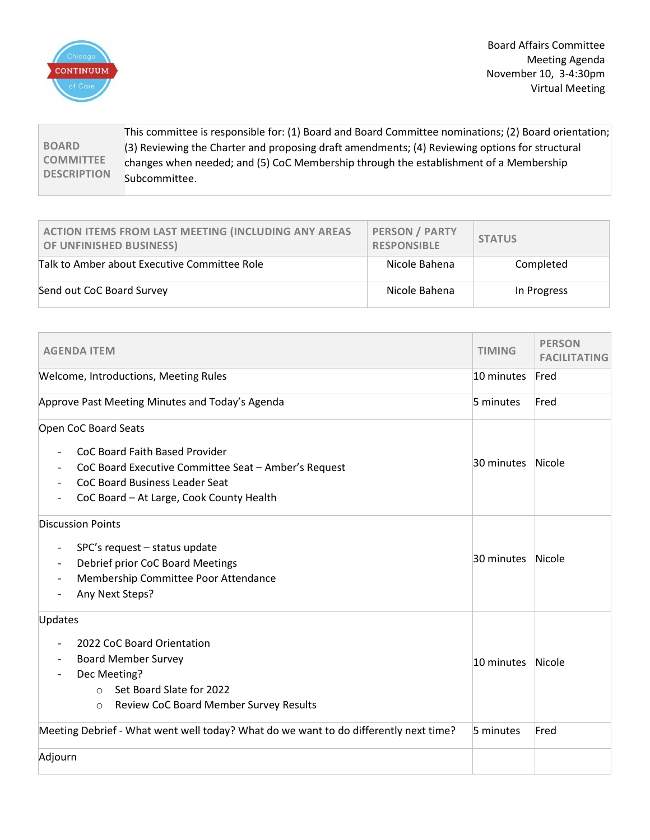

Board Affairs Committee Meeting Agenda November 10, 3-4:30pm Virtual Meeting

**BOARD COMMITTEE DESCRIPTION** This committee is responsible for: (1) Board and Board Committee nominations; (2) Board orientation; (3) Reviewing the Charter and proposing draft amendments; (4) Reviewing options for structural changes when needed; and (5) CoC Membership through the establishment of a Membership Subcommittee.

| ACTION ITEMS FROM LAST MEETING (INCLUDING ANY AREAS<br>OF UNFINISHED BUSINESS) | <b>PERSON / PARTY</b><br><b>RESPONSIBLE</b> | <b>STATUS</b> |
|--------------------------------------------------------------------------------|---------------------------------------------|---------------|
| Talk to Amber about Executive Committee Role                                   | Nicole Bahena                               | Completed     |
| Send out CoC Board Survey                                                      | Nicole Bahena                               | In Progress   |

| <b>AGENDA ITEM</b>                                                                                                                                                                   | TIMING     | <b>PERSON</b><br><b>FACILITATING</b> |
|--------------------------------------------------------------------------------------------------------------------------------------------------------------------------------------|------------|--------------------------------------|
| <b>Welcome, Introductions, Meeting Rules</b>                                                                                                                                         | 10 minutes | Fred                                 |
| Approve Past Meeting Minutes and Today's Agenda                                                                                                                                      | 5 minutes  | Fred                                 |
| Open CoC Board Seats                                                                                                                                                                 |            |                                      |
| CoC Board Faith Based Provider<br>CoC Board Executive Committee Seat - Amber's Request<br><b>CoC Board Business Leader Seat</b><br>CoC Board - At Large, Cook County Health          | 30 minutes | Nicole                               |
| <b>Discussion Points</b><br>SPC's request - status update<br>$\overline{\phantom{a}}$<br>Debrief prior CoC Board Meetings<br>Membership Committee Poor Attendance<br>Any Next Steps? | 30 minutes | Nicole                               |
| Updates<br>2022 CoC Board Orientation<br><b>Board Member Survey</b><br>Dec Meeting?<br>Set Board Slate for 2022<br>$\circ$<br>Review CoC Board Member Survey Results<br>$\circ$      | 10 minutes | Nicole                               |
| Meeting Debrief - What went well today? What do we want to do differently next time?                                                                                                 | 5 minutes  | Fred                                 |
| Adjourn                                                                                                                                                                              |            |                                      |